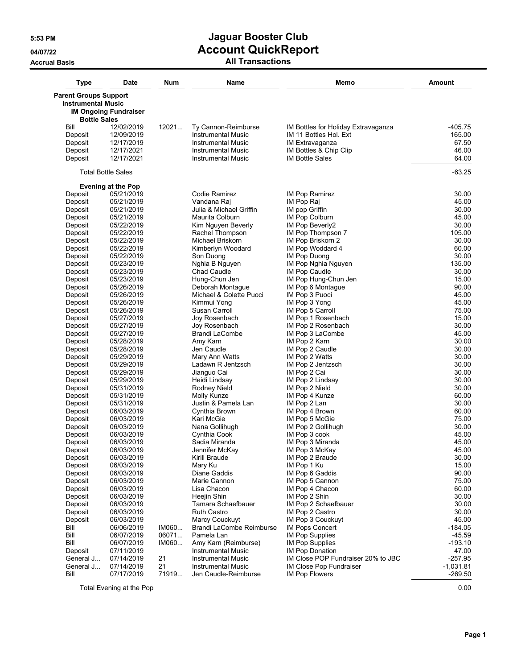**Accrual Basis All Transactions**

| <b>Type</b>                                               | <b>Date</b>                  | Num   | Name                        | Memo                                | <b>Amount</b>  |
|-----------------------------------------------------------|------------------------------|-------|-----------------------------|-------------------------------------|----------------|
| <b>Parent Groups Support</b><br><b>Instrumental Music</b> |                              |       |                             |                                     |                |
|                                                           | <b>IM Ongoing Fundraiser</b> |       |                             |                                     |                |
| <b>Bottle Sales</b>                                       |                              |       |                             |                                     |                |
| Bill                                                      | 12/02/2019                   | 12021 | Ty Cannon-Reimburse         | IM Bottles for Holiday Extravaganza | -405.75        |
| Deposit                                                   | 12/09/2019                   |       | <b>Instrumental Music</b>   | IM 11 Bottles Hol. Ext              | 165.00         |
| Deposit                                                   | 12/17/2019                   |       | <b>Instrumental Music</b>   | IM Extravaganza                     | 67.50          |
| Deposit                                                   | 12/17/2021                   |       | <b>Instrumental Music</b>   | IM Bottles & Chip Clip              | 46.00          |
| Deposit                                                   | 12/17/2021                   |       | <b>Instrumental Music</b>   | <b>IM Bottle Sales</b>              | 64.00          |
|                                                           | <b>Total Bottle Sales</b>    |       |                             |                                     | $-63.25$       |
|                                                           | <b>Evening at the Pop</b>    |       |                             |                                     |                |
| Deposit                                                   | 05/21/2019                   |       | Codie Ramirez               | <b>IM Pop Ramirez</b>               | 30.00          |
| Deposit                                                   | 05/21/2019                   |       | Vandana Raj                 | IM Pop Raj                          | 45.00          |
| Deposit                                                   | 05/21/2019                   |       | Julia & Michael Griffin     | IM pop Griffin                      | 30.00          |
| Deposit                                                   | 05/21/2019                   |       | Maurita Colburn             | IM Pop Colburn                      | 45.00          |
| Deposit                                                   | 05/22/2019                   |       | Kim Nguyen Beverly          | IM Pop Beverly2                     | 30.00          |
| Deposit                                                   | 05/22/2019                   |       | Rachel Thompson             | IM Pop Thompson 7                   | 105.00         |
| Deposit                                                   | 05/22/2019                   |       | Michael Briskorn            | IM Pop Briskorn 2                   | 30.00          |
| Deposit                                                   | 05/22/2019                   |       | Kimberlyn Woodard           | IM Pop Woddard 4                    | 60.00          |
| Deposit                                                   | 05/22/2019                   |       | Son Duong                   | <b>IM Pop Duong</b>                 | 30.00          |
| Deposit                                                   | 05/23/2019                   |       | Nghia B Nguyen              | IM Pop Nghia Nguyen                 | 135.00         |
| Deposit                                                   | 05/23/2019                   |       | <b>Chad Caudle</b>          | IM Pop Caudle                       | 30.00          |
| Deposit                                                   | 05/23/2019                   |       | Hung-Chun Jen               | IM Pop Hung-Chun Jen                | 15.00          |
| Deposit                                                   | 05/26/2019                   |       | Deborah Montaque            | IM Pop 6 Montague                   | 90.00          |
| Deposit                                                   | 05/26/2019                   |       | Michael & Colette Puoci     | IM Pop 3 Puoci                      | 45.00          |
| Deposit                                                   | 05/26/2019                   |       | Kimmui Yong                 | IM Pop 3 Yong                       | 45.00          |
| Deposit                                                   | 05/26/2019                   |       | Susan Carroll               | IM Pop 5 Carroll                    | 75.00          |
| Deposit                                                   | 05/27/2019                   |       | Joy Rosenbach               | IM Pop 1 Rosenbach                  | 15.00          |
| Deposit                                                   | 05/27/2019                   |       | Joy Rosenbach               | IM Pop 2 Rosenbach                  | 30.00          |
| Deposit                                                   | 05/27/2019                   |       | Brandi LaCombe              | IM Pop 3 LaCombe                    | 45.00          |
| Deposit                                                   | 05/28/2019                   |       | Amy Karn                    | IM Pop 2 Karn                       | 30.00          |
| Deposit                                                   | 05/28/2019                   |       | Jen Caudle                  | IM Pop 2 Caudle                     | 30.00          |
| Deposit                                                   | 05/29/2019                   |       | Mary Ann Watts              | IM Pop 2 Watts                      | 30.00          |
| Deposit                                                   | 05/29/2019                   |       | Ladawn R Jentzsch           | IM Pop 2 Jentzsch                   | 30.00          |
| Deposit                                                   | 05/29/2019                   |       | Jianguo Cai                 | IM Pop 2 Cai                        | 30.00<br>30.00 |
| Deposit<br>Deposit                                        | 05/29/2019                   |       | Heidi Lindsay               | IM Pop 2 Lindsay                    | 30.00          |
|                                                           | 05/31/2019<br>05/31/2019     |       | Rodney Nield<br>Molly Kunze | IM Pop 2 Nield<br>IM Pop 4 Kunze    | 60.00          |
| Deposit<br>Deposit                                        | 05/31/2019                   |       | Justin & Pamela Lan         | IM Pop 2 Lan                        | 30.00          |
| Deposit                                                   | 06/03/2019                   |       | Cynthia Brown               | IM Pop 4 Brown                      | 60.00          |
| Deposit                                                   | 06/03/2019                   |       | Kari McGie                  | IM Pop 5 McGie                      | 75.00          |
| Deposit                                                   | 06/03/2019                   |       | Nana Gollihugh              | IM Pop 2 Gollihugh                  | 30.00          |
| Deposit                                                   | 06/03/2019                   |       | Cynthia Cook                | IM Pop 3 cook                       | 45.00          |
| Deposit                                                   | 06/03/2019                   |       | Sadia Miranda               | IM Pop 3 Miranda                    | 45.00          |
| Deposit                                                   | 06/03/2019                   |       | Jennifer McKay              | IM Pop 3 McKay                      | 45.00          |
| Deposit                                                   | 06/03/2019                   |       | Kirill Braude               | IM Pop 2 Braude                     | 30.00          |
| Deposit                                                   | 06/03/2019                   |       | Mary Ku                     | IM Pop 1 Ku                         | 15.00          |
| Deposit                                                   | 06/03/2019                   |       | Diane Gaddis                | IM Pop 6 Gaddis                     | 90.00          |
| Deposit                                                   | 06/03/2019                   |       | Marie Cannon                | IM Pop 5 Cannon                     | 75.00          |
| Deposit                                                   | 06/03/2019                   |       | Lisa Chacon                 | IM Pop 4 Chacon                     | 60.00          |
| Deposit                                                   | 06/03/2019                   |       | Heejin Shin                 | IM Pop 2 Shin                       | 30.00          |
| Deposit                                                   | 06/03/2019                   |       | Tamara Schaefbauer          | IM Pop 2 Schaefbauer                | 30.00          |
| Deposit                                                   | 06/03/2019                   |       | <b>Ruth Castro</b>          | IM Pop 2 Castro                     | 30.00          |
| Deposit                                                   | 06/03/2019                   |       | Marcy Couckuyt              | IM Pop 3 Couckuyt                   | 45.00          |
| Bill                                                      | 06/06/2019                   | IM060 | Brandi LaCombe Reimburse    | <b>IM Pops Concert</b>              | -184.05        |
| Bill                                                      | 06/07/2019                   | 06071 | Pamela Lan                  | <b>IM Pop Supplies</b>              | $-45.59$       |
| Bill                                                      | 06/07/2019                   | IM060 | Amy Karn (Reimburse)        | <b>IM Pop Supplies</b>              | $-193.10$      |
| Deposit                                                   | 07/11/2019                   |       | <b>Instrumental Music</b>   | <b>IM Pop Donation</b>              | 47.00          |
| General J                                                 | 07/14/2019                   | 21    | <b>Instrumental Music</b>   | IM Close POP Fundraiser 20% to JBC  | $-257.95$      |
| General J                                                 | 07/14/2019                   | 21    | Instrumental Music          | IM Close Pop Fundraiser             | $-1,031.81$    |
| Bill                                                      | 07/17/2019                   | 71919 | Jen Caudle-Reimburse        | <b>IM Pop Flowers</b>               | $-269.50$      |

Total Evening at the Pop 0.00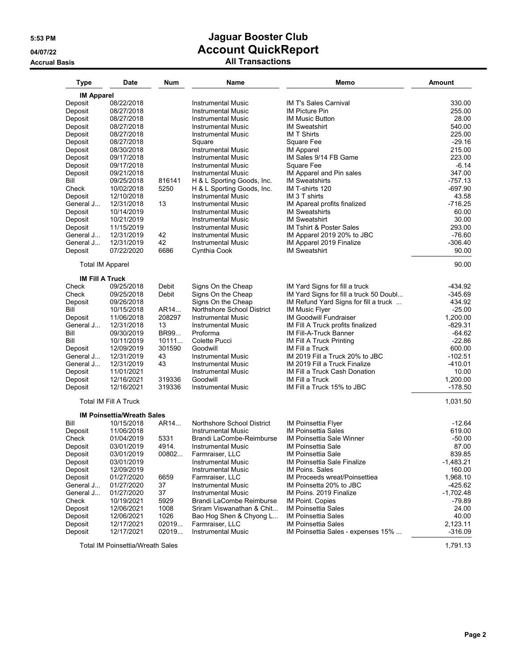### **Accrual Basis All Transactions**

| <b>Type</b>            | Date                                    | Num          | Name                                                   | Memo                                                        | <b>Amount</b>         |
|------------------------|-----------------------------------------|--------------|--------------------------------------------------------|-------------------------------------------------------------|-----------------------|
| <b>IM Apparel</b>      |                                         |              |                                                        |                                                             |                       |
| Deposit                | 08/22/2018                              |              | <b>Instrumental Music</b>                              | <b>IM T's Sales Carnival</b>                                | 330.00                |
| Deposit                | 08/27/2018                              |              | <b>Instrumental Music</b>                              | <b>IM Picture Pin</b>                                       | 255.00                |
| Deposit                | 08/27/2018                              |              | <b>Instrumental Music</b>                              | <b>IM Music Button</b>                                      | 28.00                 |
| Deposit                | 08/27/2018                              |              | <b>Instrumental Music</b>                              | <b>IM Sweatshirt</b>                                        | 540.00                |
| Deposit                | 08/27/2018                              |              | <b>Instrumental Music</b>                              | <b>IM T Shirts</b>                                          | 225.00                |
| Deposit                | 08/27/2018                              |              | Square                                                 | Square Fee                                                  | $-29.16$<br>215.00    |
| Deposit                | 08/30/2018                              |              | <b>Instrumental Music</b>                              | <b>IM Apparel</b><br>IM Sales 9/14 FB Game                  | 223.00                |
| Deposit<br>Deposit     | 09/17/2018<br>09/17/2018                |              | <b>Instrumental Music</b><br><b>Instrumental Music</b> | Square Fee                                                  | $-6.14$               |
| Deposit                | 09/21/2018                              |              | <b>Instrumental Music</b>                              | IM Apparel and Pin sales                                    | 347.00                |
| Bill                   | 09/25/2018                              | 816141       | H & L Sporting Goods, Inc.                             | <b>IM Sweatshirts</b>                                       | $-757.13$             |
| Check                  | 10/02/2018                              | 5250         | H & L Sporting Goods, Inc.                             | IM T-shirts 120                                             | $-697.90$             |
| Deposit                | 12/10/2018                              |              | <b>Instrumental Music</b>                              | IM 3 T shirts                                               | 43.58                 |
| General J              | 12/31/2018                              | 13           | <b>Instrumental Music</b>                              | IM Apareal profits finalized                                | $-716.25$             |
| Deposit                | 10/14/2019                              |              | <b>Instrumental Music</b>                              | <b>IM Sweatshirts</b>                                       | 60.00                 |
| Deposit                | 10/21/2019                              |              | <b>Instrumental Music</b>                              | <b>IM Sweatshirt</b>                                        | 30.00                 |
| Deposit                | 11/15/2019                              |              | <b>Instrumental Music</b>                              | IM Tshirt & Poster Sales                                    | 293.00                |
| General J              | 12/31/2019                              | 42           | Instrumental Music                                     | IM Apparel 2019 20% to JBC                                  | $-76.60$              |
| General J              | 12/31/2019                              | 42           | <b>Instrumental Music</b>                              | IM Apparel 2019 Finalize                                    | -306.40               |
| Deposit                | 07/22/2020                              | 6686         | Cynthia Cook                                           | <b>IM Sweatshirt</b>                                        | 90.00                 |
|                        | Total IM Apparel                        |              |                                                        |                                                             | 90.00                 |
| <b>IM Fill A Truck</b> |                                         |              |                                                        |                                                             |                       |
| Check                  | 09/25/2018                              | Debit        | Signs On the Cheap                                     | IM Yard Signs for fill a truck                              | $-434.92$             |
| Check                  | 09/25/2018                              | Debit        | Signs On the Cheap                                     | IM Yard Signs for fill a truck 50 Doubl                     | -345.69               |
| Deposit                | 09/26/2018                              |              | Signs On the Cheap                                     | IM Refund Yard Signs for fill a truck                       | 434.92                |
| Bill                   | 10/15/2018                              | AR14         | Northshore School District                             | <b>IM Music Flyer</b>                                       | $-25.00$              |
| Deposit<br>General J   | 11/06/2018                              | 208297<br>13 | <b>Instrumental Music</b>                              | <b>IM Goodwill Fundraiser</b>                               | 1,200.00              |
| Bill                   | 12/31/2018<br>09/30/2019                | BR99         | <b>Instrumental Music</b><br>Proforma                  | IM Fill A Truck profits finalized<br>IM Fill-A-Truck Banner | $-829.31$<br>$-64.62$ |
| Bill                   | 10/11/2019                              | 10111        | Colette Pucci                                          | IM Fill A Truck Printing                                    | $-22.86$              |
| Deposit                | 12/09/2019                              | 301590       | Goodwill                                               | IM Fill a Truck                                             | 600.00                |
| General J              | 12/31/2019                              | 43           | <b>Instrumental Music</b>                              | IM 2019 Fill a Truck 20% to JBC                             | $-102.51$             |
| General J              | 12/31/2019                              | 43           | <b>Instrumental Music</b>                              | IM 2019 Fill a Truck Finalize                               | $-410.01$             |
| Deposit                | 11/01/2021                              |              | <b>Instrumental Music</b>                              | IM Fill a Truck Cash Donation                               | 10.00                 |
| Deposit                | 12/16/2021                              | 319336       | Goodwill                                               | IM Fill a Truck                                             | 1,200.00              |
| Deposit                | 12/16/2021                              | 319336       | <b>Instrumental Music</b>                              | IM Fill a Truck 15% to JBC                                  | $-178.50$             |
|                        | Total IM Fill A Truck                   |              |                                                        |                                                             | 1,031.50              |
|                        | <b>IM Poinsettia/Wreath Sales</b>       |              |                                                        |                                                             |                       |
| Bill                   | 10/15/2018                              | AR14         | Northshore School District                             | <b>IM Poinsettia Flyer</b>                                  | $-12.64$              |
| Deposit                | 11/06/2018                              |              | <b>Instrumental Music</b>                              | IM Poinsettia Sales                                         | 619.00                |
| Check                  | 01/04/2019                              | 5331         | Brandi LaCombe-Reimburse                               | IM Poinsettia Sale Winner                                   | $-50.00$              |
| Deposit                | 03/01/2019                              | 4914.        | <b>Instrumental Music</b>                              | <b>IM Poinsettia Sale</b>                                   | 87.00                 |
| Deposit                | 03/01/2019                              | 00802        | Farmraiser, LLC                                        | IM Poinsettia Sale                                          | 839.85                |
| Deposit<br>Deposit     | 03/01/2019                              |              | <b>Instrumental Music</b>                              | IM Poinsettia Sale Finalize<br><b>IM Poins, Sales</b>       | -1,483.21<br>160.00   |
| Deposit                | 12/09/2019<br>01/27/2020                | 6659         | <b>Instrumental Music</b>                              | IM Proceeds wreat/Poinsettiea                               | 1,968.10              |
| General J              | 01/27/2020                              | 37           | Farmraiser, LLC<br><b>Instrumental Music</b>           | IM Poinsetta 20% to JBC                                     | $-425.62$             |
| General J              | 01/27/2020                              | 37           | <b>Instrumental Music</b>                              | IM Poins. 2019 Finalize                                     | $-1,702.48$           |
| Check                  | 10/19/2021                              | 5929         | Brandi LaCombe Reimburse                               | <b>IM Point. Copies</b>                                     | $-79.89$              |
| Deposit                | 12/06/2021                              | 1008         | Sriram Viswanathan & Chit                              | <b>IM Poinsettia Sales</b>                                  | 24.00                 |
| Deposit                | 12/06/2021                              | 1026         | Bao Hog Shen & Chyong L                                | <b>IM Poinsettia Sales</b>                                  | 40.00                 |
| Deposit                | 12/17/2021                              | 02019        | Farmraiser, LLC                                        | <b>IM Poinsettia Sales</b>                                  | 2,123.11              |
| Deposit                | 12/17/2021                              | 02019        | <b>Instrumental Music</b>                              | IM Poinsettia Sales - expenses 15%                          | $-316.09$             |
|                        | <b>Total IM Poinsettia/Wreath Sales</b> |              |                                                        |                                                             | 1,791.13              |

**Page 2**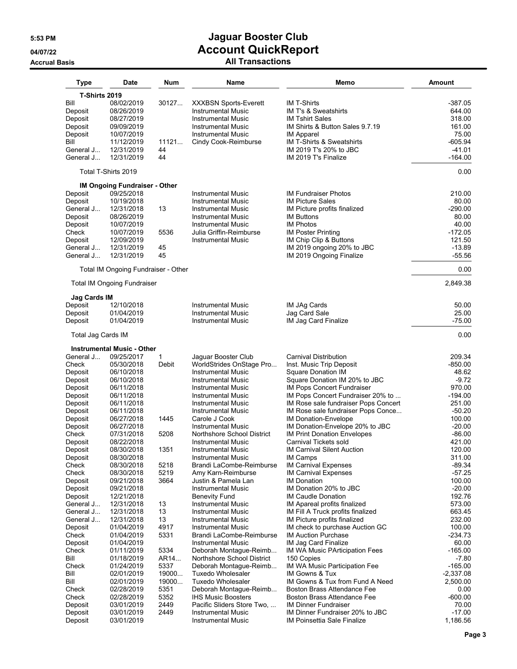### **Accrual Basis All Transactions**

| Type                           | <b>Date</b>                         | Num        | Name                         | Memo                                                              | <b>Amount</b> |
|--------------------------------|-------------------------------------|------------|------------------------------|-------------------------------------------------------------------|---------------|
| <b>T-Shirts 2019</b>           |                                     |            |                              |                                                                   |               |
| Bill                           | 08/02/2019                          | 30127      | <b>XXXBSN Sports-Everett</b> | <b>IM T-Shirts</b>                                                | $-387.05$     |
| Deposit                        | 08/26/2019                          |            | <b>Instrumental Music</b>    | IM T's & Sweatshirts                                              | 644.00        |
| Deposit                        | 08/27/2019                          |            | <b>Instrumental Music</b>    | <b>IM Tshirt Sales</b>                                            | 318.00        |
| Deposit                        | 09/09/2019                          |            | <b>Instrumental Music</b>    | IM Shirts & Button Sales 9.7.19                                   | 161.00        |
| Deposit                        | 10/07/2019                          |            | <b>Instrumental Music</b>    | <b>IM Apparel</b>                                                 | 75.00         |
| Bill                           | 11/12/2019                          | 11121      | Cindy Cook-Reimburse         | <b>IM T-Shirts &amp; Sweatshirts</b>                              | $-605.94$     |
| General J                      | 12/31/2019                          | 44         |                              | IM 2019 T's 20% to JBC                                            | -41.01        |
| General J                      | 12/31/2019                          | 44         |                              | IM 2019 T's Finalize                                              | $-164.00$     |
|                                | Total T-Shirts 2019                 |            |                              |                                                                   | 0.00          |
|                                | IM Ongoing Fundraiser - Other       |            |                              |                                                                   |               |
| Deposit                        | 09/25/2018                          |            | Instrumental Music           | <b>IM Fundraiser Photos</b>                                       | 210.00        |
| Deposit                        | 10/19/2018                          |            | Instrumental Music           | <b>IM Picture Sales</b>                                           | 80.00         |
| General J                      | 12/31/2018                          | 13         | Instrumental Music           | IM Picture profits finalized                                      | $-290.00$     |
| Deposit                        | 08/26/2019                          |            | <b>Instrumental Music</b>    | <b>IM Buttons</b>                                                 | 80.00         |
| Deposit                        | 10/07/2019                          |            | <b>Instrumental Music</b>    | <b>IM Photos</b>                                                  | 40.00         |
| Check                          | 10/07/2019                          | 5536       | Julia Griffin-Reimburse      | <b>IM Poster Printing</b>                                         | $-172.05$     |
| Deposit                        | 12/09/2019                          |            | Instrumental Music           | IM Chip Clip & Buttons                                            | 121.50        |
| General J                      | 12/31/2019                          | 45         |                              | IM 2019 ongoing 20% to JBC                                        | $-13.89$      |
| General J                      | 12/31/2019                          | 45         |                              | IM 2019 Ongoing Finalize                                          | $-55.56$      |
|                                |                                     |            |                              |                                                                   |               |
|                                | Total IM Ongoing Fundraiser - Other |            |                              |                                                                   | 0.00          |
|                                | <b>Total IM Ongoing Fundraiser</b>  |            |                              |                                                                   | 2,849.38      |
| <b>Jag Cards IM</b><br>Deposit | 12/10/2018                          |            | Instrumental Music           | IM JAg Cards                                                      | 50.00         |
| Deposit                        | 01/04/2019                          |            | <b>Instrumental Music</b>    | Jag Card Sale                                                     | 25.00         |
| Deposit                        | 01/04/2019                          |            | Instrumental Music           | IM Jag Card Finalize                                              | -75.00        |
|                                |                                     |            |                              |                                                                   |               |
| Total Jag Cards IM             | <b>Instrumental Music - Other</b>   |            |                              |                                                                   | 0.00          |
| General J                      | 09/25/2017                          | 1          | Jaguar Booster Club          | <b>Carnival Distribution</b>                                      | 209.34        |
| Check                          | 05/30/2018                          | Debit      | WorldStrides OnStage Pro     | Inst. Music Trip Deposit                                          | $-850.00$     |
| Deposit                        | 06/10/2018                          |            | <b>Instrumental Music</b>    | <b>Square Donation IM</b>                                         | 48.62         |
| Deposit                        | 06/10/2018                          |            | Instrumental Music           | Square Donation IM 20% to JBC                                     | $-9.72$       |
| Deposit                        | 06/11/2018                          |            | Instrumental Music           | IM Pops Concert Fundraiser                                        | 970.00        |
| Deposit                        | 06/11/2018                          |            | Instrumental Music           | IM Pops Concert Fundraiser 20% to                                 | $-194.00$     |
| Deposit                        | 06/11/2018                          |            | <b>Instrumental Music</b>    | IM Rose sale fundraiser Pops Concert                              | 251.00        |
| Deposit                        | 06/11/2018                          |            | Instrumental Music           | IM Rose sale fundraiser Pops Conce                                | $-50.20$      |
| Deposit                        | 06/27/2018                          | 1445       | Carole J Cook                | IM Donation-Envelope                                              | 100.00        |
| Deposit                        | 06/27/2018                          |            | Instrumental Music           | IM Donation-Envelope 20% to JBC                                   | $-20.00$      |
| Check                          | 07/31/2018                          | 5208       | Northshore School District   | <b>IM Print Donation Envelopes</b>                                | $-86.00$      |
| Deposit                        | 08/22/2018                          |            | Instrumental Music           | Carnival Tickets sold                                             | 421.00        |
| Deposit                        | 08/30/2018                          | 1351       | Instrumental Music           | <b>IM Carnival Silent Auction</b>                                 | 120.00        |
| Deposit                        | 08/30/2018                          |            | Instrumental Music           | IM Camps                                                          | 311.00        |
| Check                          | 08/30/2018                          | 5218       | Brandi LaCombe-Reimburse     | <b>IM Carnival Expenses</b>                                       | -89.34        |
| Check                          | 08/30/2018                          | 5219       | Amy Karn-Reimburse           | <b>IM Carnival Expenses</b>                                       | $-57.25$      |
| Deposit                        | 09/21/2018                          | 3664       | Justin & Pamela Lan          | <b>IM Donation</b>                                                | 100.00        |
| Deposit                        | 09/21/2018                          |            | <b>Instrumental Music</b>    | IM Donation 20% to JBC                                            | $-20.00$      |
|                                |                                     |            |                              | IM Caudle Donation                                                | 192.76        |
| Deposit                        | 12/21/2018                          |            | <b>Benevity Fund</b>         |                                                                   |               |
| General J<br>General J         | 12/31/2018                          | 13<br>13   | Instrumental Music           | IM Apareal profits finalized<br>IM Fill A Truck profits finalized | 573.00        |
|                                | 12/31/2018                          |            | <b>Instrumental Music</b>    |                                                                   | 663.45        |
| General J                      | 12/31/2018                          | 13<br>4917 | <b>Instrumental Music</b>    | IM Picture profits finalized                                      | 232.00        |
| Deposit                        | 01/04/2019                          |            | Instrumental Music           | IM check to purchase Auction GC                                   | 100.00        |
| Check                          | 01/04/2019                          | 5331       | Brandi LaCombe-Reimburse     | <b>IM Auction Purchase</b>                                        | $-234.73$     |
| Deposit                        | 01/04/2019                          |            | Instrumental Music           | IM Jag Card Finalize                                              | 60.00         |
| Check                          | 01/11/2019                          | 5334       | Deborah Montaque-Reimb       | <b>IM WA Music PArticipation Fees</b>                             | $-165.00$     |
| Bill                           | 01/18/2019                          | AR14       | Northshore School District   | 150 Copies                                                        | -7.80         |
| Check                          | 01/24/2019                          | 5337       | Deborah Montague-Reimb       | IM WA Music Participation Fee                                     | $-165.00$     |
| Bill                           | 02/01/2019                          | 19000      | <b>Tuxedo Wholesaler</b>     | IM Gowns & Tux                                                    | $-2,337.08$   |
| Bill                           | 02/01/2019                          | 19000      | <b>Tuxedo Wholesaler</b>     | IM Gowns & Tux from Fund A Need                                   | 2,500.00      |
| Check                          | 02/28/2019                          | 5351       | Deborah Montague-Reimb       | Boston Brass Attendance Fee                                       | 0.00          |
| Check                          | 02/28/2019                          | 5352       | <b>IHS Music Boosters</b>    | Boston Brass Attendance Fee                                       | $-600.00$     |
| Deposit                        | 03/01/2019                          | 2449       | Pacific Sliders Store Two    | <b>IM Dinner Fundraiser</b>                                       | 70.00         |
| Deposit                        | 03/01/2019                          | 2449       | <b>Instrumental Music</b>    | IM Dinner Fundraiser 20% to JBC                                   | $-17.00$      |
| Deposit                        | 03/01/2019                          |            | <b>Instrumental Music</b>    | IM Poinsettia Sale Finalize                                       | 1,186.56      |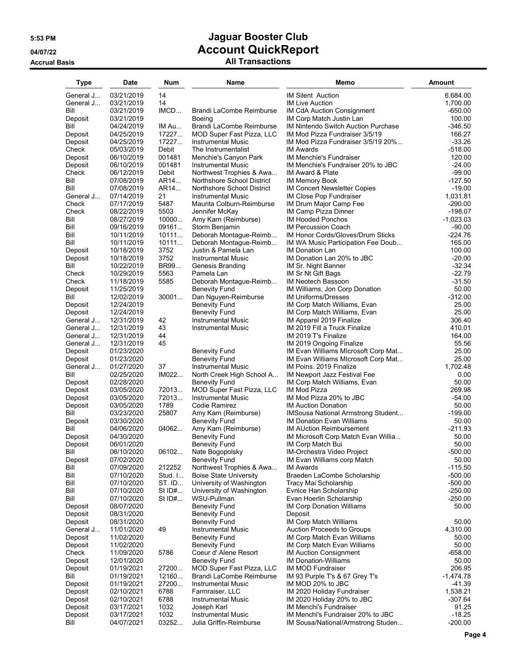## **5:53 PM Jaguar Booster Club 04/07/22 Account QuickReport Accrual Basis All Transactions**

| <b>Type</b>          | Date                     | Num      | Name                                         | Memo                                                     | <b>Amount</b>      |
|----------------------|--------------------------|----------|----------------------------------------------|----------------------------------------------------------|--------------------|
| General J            | 03/21/2019               | 14       |                                              | <b>IM Silent Auction</b>                                 | 6,684.00           |
| General J            | 03/21/2019               | 14       |                                              | <b>IM Live Auction</b>                                   | 1,700.00           |
| Bill                 | 03/21/2019               | IMCD     | Brandi LaCombe Reimburse                     | IM CdA Auction Consignment                               | $-650.00$          |
| Deposit              | 03/21/2019               |          | <b>Boeing</b>                                | IM Corp Match Justin Lan                                 | 100.00             |
| Bill                 | 04/24/2019               | IM Au    | Brandi LaCombe Reimburse                     | <b>IM Nintendo Switch Auction Purchase</b>               | $-346.50$          |
| Deposit              | 04/25/2019               | 17227    | MOD Super Fast Pizza, LLC                    | IM Mod Pizza Fundraiser 3/5/19                           | 166.27             |
| Deposit              | 04/25/2019               | 17227    | <b>Instrumental Music</b>                    | IM Mod Pizza Fundraiser 3/5/19 20%                       | $-33.26$           |
| Check                | 05/03/2019               | Debit    | The Instrumentalist                          | <b>IM Awards</b>                                         | $-518.00$          |
| Deposit              | 06/10/2019               | 001481   | Menchie's Canyon Park                        | IM Menchie's Fundraiser                                  | 120.00             |
| Deposit              | 06/10/2019               | 001481   | <b>Instrumental Music</b>                    | IM Menchie's Fundraiser 20% to JBC                       | $-24.00$           |
| Check                | 06/12/2019               | Debit    | Northwest Trophies & Awa                     | IM Award & Plate                                         | $-99.00$           |
| Bill                 | 07/08/2019               | AR14     | Northshore School District                   | <b>IM Memory Book</b>                                    | $-127.50$          |
| Bill                 | 07/08/2019               | AR14     | Northshore School District                   | <b>IM Concert Newsletter Copies</b>                      | $-19.00$           |
| General J            | 07/14/2019               | 21       | <b>Instrumental Music</b>                    | IM Close Pop Fundraiser                                  | 1,031.81           |
| Check                | 07/17/2019               | 5487     | Maurita Colburn-Reimburse                    | IM Drum Major Camp Fee                                   | $-290.00$          |
| Check                | 08/22/2019               | 5503     | Jennifer McKay                               | IM Camp Pizza Dinner                                     | $-198.07$          |
| Bill                 | 08/27/2019               | 10000    | Amy Karn (Reimburse)                         | <b>IM Hooded Ponchos</b>                                 | $-1,023.03$        |
| Bill                 | 09/16/2019               | 09161    | Storm Benjamin                               | <b>IM Percussion Coach</b>                               | $-90.00$           |
| Bill                 | 10/11/2019               | 10111    | Deborah Montague-Reimb                       | IM Honor Cords/Gloves/Drum Sticks                        | $-224.76$          |
| Bill                 | 10/11/2019               | 10111    | Deborah Montague-Reimb                       | IM WA Music Participation Fee Doub                       | 165.00             |
| Deposit              | 10/18/2019               | 3752     | Justin & Pamela Lan                          | IM Donation Lan                                          | 100.00             |
| Deposit              | 10/18/2019               | 3752     | <b>Instrumental Music</b>                    | IM Donation Lan 20% to JBC                               | $-20.00$           |
| Bill                 | 10/22/2019               | BR99     | Genesis Branding                             | IM Sr. Night Banner                                      | $-32.34$           |
| Check                | 10/29/2019               | 5563     | Pamela Lan                                   | IM Sr Nt Gift Bags                                       | $-22.79$           |
| Check                | 11/18/2019               | 5585     | Deborah Montague-Reimb                       | IM Neotech Bassoon                                       | $-31.50$           |
| Deposit              | 11/25/2019               |          | <b>Benevity Fund</b>                         | IM Williams, Jon Corp Donation                           | 50.00<br>$-312.00$ |
| Bill                 | 12/02/2019               | 30001    | Dan Nguyen-Reimburse                         | <b>IM Uniforms/Dresses</b>                               | 25.00              |
| Deposit              | 12/24/2019<br>12/24/2019 |          | <b>Benevity Fund</b><br><b>Benevity Fund</b> | IM Corp Match Williams, Evan                             | 25.00              |
| Deposit<br>General J | 12/31/2019               | 42       | <b>Instrumental Music</b>                    | IM Corp Match Williams, Evan<br>IM Apparel 2019 Finalize | 306.40             |
| General J            | 12/31/2019               | 43       | <b>Instrumental Music</b>                    | IM 2019 Fill a Truck Finalize                            | 410.01             |
| General J            | 12/31/2019               | 44       |                                              | IM 2019 T's Finalize                                     | 164.00             |
| General J            | 12/31/2019               | 45       |                                              | IM 2019 Ongoing Finalize                                 | 55.56              |
| Deposit              | 01/23/2020               |          | <b>Benevity Fund</b>                         | IM Evan Williams MIcrosoft Corp Mat                      | 25.00              |
| Deposit              | 01/23/2020               |          | <b>Benevity Fund</b>                         | IM Evan Williams MIcrosoft Corp Mat                      | 25.00              |
| General J            | 01/27/2020               | 37       | <b>Instrumental Music</b>                    | IM Poins. 2019 Finalize                                  | 1,702.48           |
| Bill                 | 02/25/2020               | IM022    | North Creek High School A                    | IM Newport Jazz Festival Fee                             | 0.00               |
| Deposit              | 02/28/2020               |          | <b>Benevity Fund</b>                         | IM Corp Match Williams, Evan                             | 50.00              |
| Deposit              | 03/05/2020               | 72013    | MOD Super Fast Pizza, LLC                    | <b>IM Mod Pizza</b>                                      | 269.98             |
| Deposit              | 03/05/2020               | 72013    | <b>Instrumental Music</b>                    | IM Mod Pizza 20% to JBC                                  | $-54.00$           |
| Deposit              | 03/05/2020               | 1789     | Codie Ramirez                                | <b>IM Auction Donation</b>                               | 50.00              |
| Bill                 | 03/23/2020               | 25807    | Amy Karn (Reimburse)                         | <b>IMSousa National Armstrong Student</b>                | $-199.00$          |
| Deposit              | 03/30/2020               |          | <b>Benevity Fund</b>                         | <b>IM Donation Evan Williams</b>                         | 50.00              |
| Bill                 | 04/06/2020               | 04062    | Amy Karn (Reimburse)                         | <b>IM AUction Reimbursement</b>                          | $-211.93$          |
| Deposit              | 04/30/2020               |          | <b>Benevity Fund</b>                         | IM Microsoft Corp Match Evan Willia                      | 50.00              |
| Deposit              | 06/01/2020               |          | <b>Benevity Fund</b>                         | IM Corp Match Bui                                        | 50.00              |
| Bill                 | 06/10/2020               | 06102    | Nate Bogopolsky                              | IM-Orchestra Video Project                               | $-500.00$          |
| Deposit              | 07/02/2020               |          | <b>Benevity Fund</b>                         | IM Evan Williams corp Match                              | 50.00              |
| Bill                 | 07/09/2020               | 212252   | Northwest Trophies & Awa                     | <b>IM Awards</b>                                         | $-115.50$          |
| Bill                 | 07/10/2020               | Stud. I  | <b>Boise State University</b>                | Braeden LaCombe Scholarship                              | $-500.00$          |
| Bill                 | 07/10/2020               | ST. ID   | University of Washington                     | Tracy Mai Scholarship                                    | $-500.00$          |
| Bill                 | 07/10/2020               | St $ID#$ | University of Washington                     | Evnice Han Scholarship                                   | $-250.00$          |
| Bill                 | 07/10/2020               | St ID#   | WSU-Pullman                                  | Evan Hoerlin Scholarship                                 | $-250.00$          |
| Deposit<br>Deposit   | 08/07/2020<br>08/31/2020 |          | <b>Benevity Fund</b><br><b>Benevity Fund</b> | <b>IM Corp Donation Williams</b><br>Deposit              | 50.00              |
| Deposit              | 08/31/2020               |          | <b>Benevity Fund</b>                         | IM Corp Match Williams                                   | 50.00              |
| General J            | 11/01/2020               | 49       | <b>Instrumental Music</b>                    | Auction Proceeds to Groups                               | 4,310.00           |
| Deposit              | 11/02/2020               |          | <b>Benevity Fund</b>                         | <b>IM Corp Match Evan Williams</b>                       | 50.00              |
| Deposit              | 11/02/2020               |          | <b>Benevity Fund</b>                         | IM Corp Match Evan Williams                              | 50.00              |
| Check                | 11/09/2020               | 5786     | Coeur d' Alene Resort                        | <b>IM Auction Consignment</b>                            | $-658.00$          |
| Deposit              | 12/01/2020               |          | <b>Benevity Fund</b>                         | <b>IM Donation-Williams</b>                              | 50.00              |
| Deposit              | 01/19/2021               | 27200    | MOD Super Fast Pizza, LLC                    | IM MOD Fundraiser                                        | 206.95             |
| Bill                 | 01/19/2021               | 12160    | Brandi LaCombe Reimburse                     | IM 93 Purple T's & 67 Grey T's                           | $-1,474.78$        |
| Deposit              | 01/19/2021               | 27200    | <b>Instrumental Music</b>                    | IM MOD 20% to JBC                                        | $-41.39$           |
| Deposit              | 02/10/2021               | 6788     | Farmraiser, LLC                              | IM 2020 Holiday Fundraiser                               | 1,538.21           |
| Deposit              | 02/10/2021               | 6788     | <b>Instrumental Music</b>                    | IM 2020 Holiday 20% to JBC                               | $-307.64$          |
| Deposit              | 03/17/2021               | 1032     | Joseph Karl                                  | IM Menchi's Fundraiser                                   | 91.25              |
| Deposit              | 03/17/2021               | 1032     | <b>Instrumental Music</b>                    | IM Menchi's Fundraiser 20% to JBC                        | $-18.25$           |
| Bill                 | 04/07/2021               | 03252    | Julia Griffin-Reimburse                      | IM Sousa/National/Armstrong Studen                       | $-200.00$          |